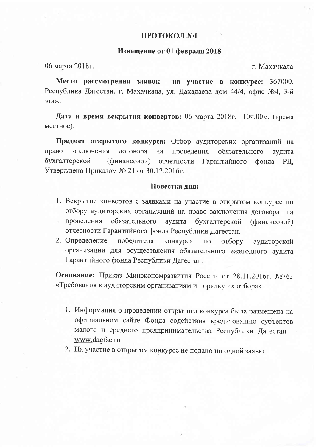## ПРОТОКОЛ №1

## Извещение от 01 февраля 2018

06 марта 2018г.

г. Махачкала

Место рассмотрения заявок на участие в конкурсе: 367000, Республика Дагестан, г. Махачкала, ул. Дахадаева дом 44/4, офис №4, 3-й этаж.

Дата и время вскрытия конвертов: 06 марта 2018г. 10ч.00м. (время местное).

Предмет открытого конкурса: Отбор аудиторских организаций на заключения право договора проведения на обязательного аудита бухгалтерской (финансовой) отчетности Гарантийного фонда РД. Утверждено Приказом № 21 от 30.12.2016г.

## Повестка лня:

- 1. Вскрытие конвертов с заявками на участие в открытом конкурсе по отбору аудиторских организаций на право заключения договора на проведения обязательного аудита бухгалтерской (финансовой) отчетности Гарантийного фонда Республики Дагестан.
- 2. Определение победителя конкурса  $\Pi$ <sup>O</sup> отбору аудиторской организации для осуществления обязательного ежегодного аудита Гарантийного фонда Республики Дагестан.

Основание: Приказ Минэкономразвития России от 28.11.2016г. №763 «Требования к аудиторским организациям и порядку их отбора».

- 1. Информация о проведении открытого конкурса была размещена на официальном сайте Фонда содействия кредитованию субъектов малого и среднего предпринимательства Республики Дагестан www.dagfsc.ru
- 2. На участие в открытом конкурсе не подано ни одной заявки.